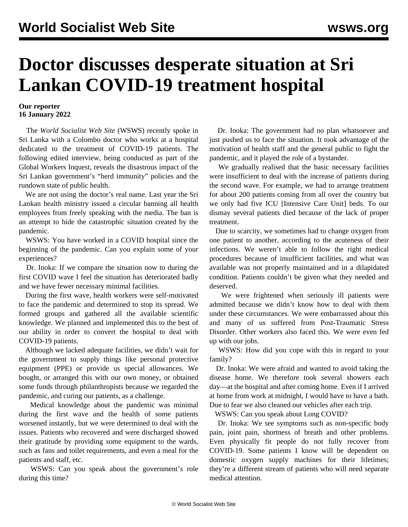## **Doctor discusses desperate situation at Sri Lankan COVID-19 treatment hospital**

## **Our reporter 16 January 2022**

 The *World Socialist Web Site* (WSWS) recently spoke in Sri Lanka with a Colombo doctor who works at a hospital dedicated to the treatment of COVID-19 patients. The following edited interview, being conducted as part of the [Global Workers Inquest,](/en/articles/2021/11/22/pers-n22.html) reveals the disastrous impact of the Sri Lankan government's "herd immunity" policies and the rundown state of public health.

 We are not using the doctor's real name. Last year the Sri Lankan health ministry issued a circular banning all health employees from freely speaking with the media. The ban is an attempt to hide the catastrophic situation created by the pandemic.

 WSWS: You have worked in a COVID hospital since the beginning of the pandemic. Can you explain some of your experiences?

 Dr. Inoka: If we compare the situation now to during the first COVID wave I feel the situation has deteriorated badly and we have fewer necessary minimal facilities.

 During the first wave, health workers were self-motivated to face the pandemic and determined to stop its spread. We formed groups and gathered all the available scientific knowledge. We planned and implemented this to the best of our ability in order to convert the hospital to deal with COVID-19 patients.

 Although we lacked adequate facilities, we didn't wait for the government to supply things like personal protective equipment (PPE) or provide us special allowances. We bought, or arranged this with our own money, or obtained some funds through philanthropists because we regarded the pandemic, and curing our patients, as a challenge.

 Medical knowledge about the pandemic was minimal during the first wave and the health of some patients worsened instantly, but we were determined to deal with the issues. Patients who recovered and were discharged showed their gratitude by providing some equipment to the wards, such as fans and toilet requirements, and even a meal for the patients and staff, etc.

 WSWS: Can you speak about the government's role during this time?

 Dr. Inoka: The government had no plan whatsoever and just pushed us to face the situation. It took advantage of the motivation of health staff and the general public to fight the pandemic, and it played the role of a bystander.

 We gradually realised that the basic necessary facilities were insufficient to deal with the increase of patients during the second wave. For example, we had to arrange treatment for about 200 patients coming from all over the country but we only had five ICU [Intensive Care Unit] beds. To our dismay several patients died because of the lack of proper treatment.

 Due to scarcity, we sometimes had to change oxygen from one patient to another, according to the acuteness of their infections. We weren't able to follow the right medical procedures because of insufficient facilities, and what was available was not properly maintained and in a dilapidated condition. Patients couldn't be given what they needed and deserved.

 We were frightened when seriously ill patients were admitted because we didn't know how to deal with them under these circumstances. We were embarrassed about this and many of us suffered from Post-Traumatic Stress Disorder. Other workers also faced this. We were even fed up with our jobs.

 WSWS: How did you cope with this in regard to your family?

 Dr. Inoka: We were afraid and wanted to avoid taking the disease home. We therefore took several showers each day—at the hospital and after coming home. Even if I arrived at home from work at midnight, I would have to have a bath. Due to fear we also cleaned our vehicles after each trip.

WSWS: Can you speak about Long COVID?

 Dr. Inoka: We see symptoms such as non-specific body pain, joint pain, shortness of breath and other problems. Even physically fit people do not fully recover from COVID-19. Some patients I know will be dependent on domestic oxygen supply machines for their lifetimes; they're a different stream of patients who will need separate medical attention.